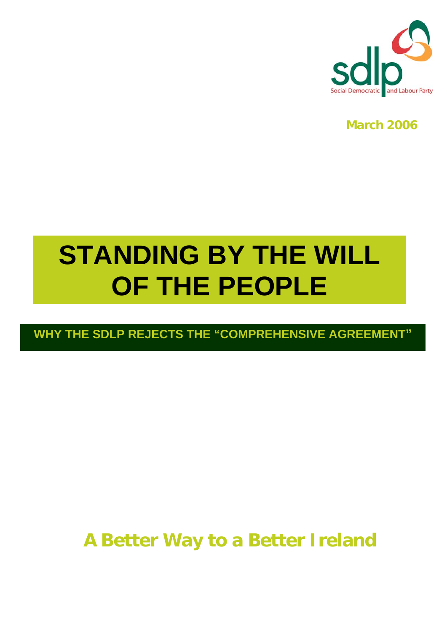

**March 2006**

# **STANDING BY THE WILL OF THE PEOPLE**

**WHY THE SDLP REJECTS THE "COMPREHENSIVE AGREEMENT"** 

**A Better Way to a Better Ireland**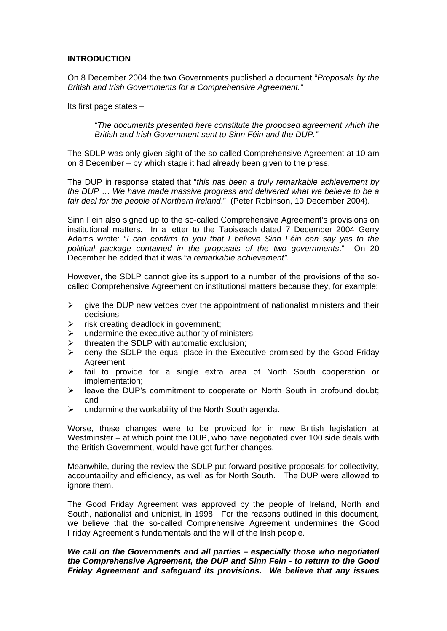#### **INTRODUCTION**

On 8 December 2004 the two Governments published a document "*Proposals by the British and Irish Governments for a Comprehensive Agreement."* 

Its first page states –

*"The documents presented here constitute the proposed agreement which the British and Irish Government sent to Sinn Féin and the DUP."* 

The SDLP was only given sight of the so-called Comprehensive Agreement at 10 am on 8 December – by which stage it had already been given to the press.

The DUP in response stated that "*this has been a truly remarkable achievement by the DUP* … *We have made massive progress and delivered what we believe to be a fair deal for the people of Northern Ireland*." (Peter Robinson, 10 December 2004).

Sinn Fein also signed up to the so-called Comprehensive Agreement's provisions on institutional matters. In a letter to the Taoiseach dated 7 December 2004 Gerry Adams wrote: "*I can confirm to you that I believe Sinn Féin can say yes to the political package contained in the proposals of the two governments*." On 20 December he added that it was "*a remarkable achievement".* 

However, the SDLP cannot give its support to a number of the provisions of the socalled Comprehensive Agreement on institutional matters because they, for example:

- $\triangleright$  give the DUP new vetoes over the appointment of nationalist ministers and their decisions;
- $\triangleright$  risk creating deadlock in government;
- $\triangleright$  undermine the executive authority of ministers;
- $\triangleright$  threaten the SDLP with automatic exclusion:
- $\triangleright$  deny the SDLP the equal place in the Executive promised by the Good Friday Agreement;
- ¾ fail to provide for a single extra area of North South cooperation or implementation;
- ¾ leave the DUP's commitment to cooperate on North South in profound doubt; and
- $\triangleright$  undermine the workability of the North South agenda.

Worse, these changes were to be provided for in new British legislation at Westminster – at which point the DUP, who have negotiated over 100 side deals with the British Government, would have got further changes.

Meanwhile, during the review the SDLP put forward positive proposals for collectivity, accountability and efficiency, as well as for North South. The DUP were allowed to ignore them.

The Good Friday Agreement was approved by the people of Ireland, North and South, nationalist and unionist, in 1998. For the reasons outlined in this document, we believe that the so-called Comprehensive Agreement undermines the Good Friday Agreement's fundamentals and the will of the Irish people.

#### *We call on the Governments and all parties – especially those who negotiated the Comprehensive Agreement, the DUP and Sinn Fein - to return to the Good Friday Agreement and safeguard its provisions. We believe that any issues*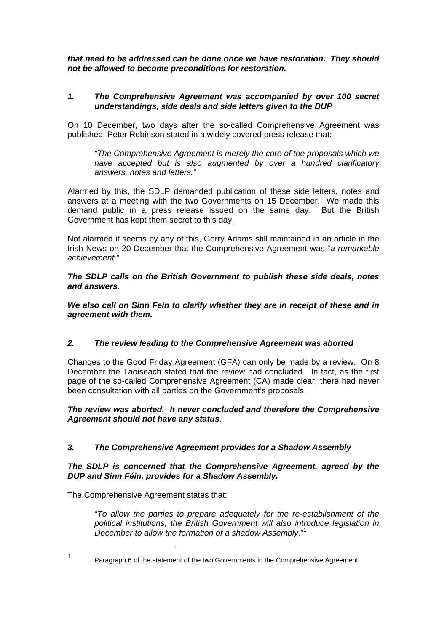*that need to be addressed can be done once we have restoration. They should not be allowed to become preconditions for restoration.* 

## *1. The Comprehensive Agreement was accompanied by over 100 secret understandings, side deals and side letters given to the DUP*

On 10 December, two days after the so-called Comprehensive Agreement was published, Peter Robinson stated in a widely covered press release that:

*"The Comprehensive Agreement is merely the core of the proposals which we have accepted but is also augmented by over a hundred clarificatory answers, notes and letters."*

Alarmed by this, the SDLP demanded publication of these side letters, notes and answers at a meeting with the two Governments on 15 December. We made this demand public in a press release issued on the same day. But the British Government has kept them secret to this day.

Not alarmed it seems by any of this, Gerry Adams still maintained in an article in the Irish News on 20 December that the Comprehensive Agreement was "*a remarkable achievement*."

*The SDLP calls on the British Government to publish these side deals, notes and answers.* 

*We also call on Sinn Fein to clarify whether they are in receipt of these and in agreement with them.*

## *2. The review leading to the Comprehensive Agreement was aborted*

Changes to the Good Friday Agreement (GFA) can only be made by a review. On 8 December the Taoiseach stated that the review had concluded. In fact, as the first page of the so-called Comprehensive Agreement (CA) made clear, there had never been consultation with all parties on the Government's proposals.

*The review was aborted. It never concluded and therefore the Comprehensive Agreement should not have any status*.

## *3. The Comprehensive Agreement provides for a Shadow Assembly*

*The SDLP is concerned that the Comprehensive Agreement, agreed by the DUP and Sinn Féin, provides for a Shadow Assembly.* 

The Comprehensive Agreement states that:

"*To allow the parties to prepare adequately for the re-establishment of the political institutions, the British Government will also introduce legislation in December to allow the formation of a shadow Assembly*."[1](#page-2-0)

Paragraph 6 of the statement of the two Governments in the Comprehensive Agreement.

<span id="page-2-0"></span>-1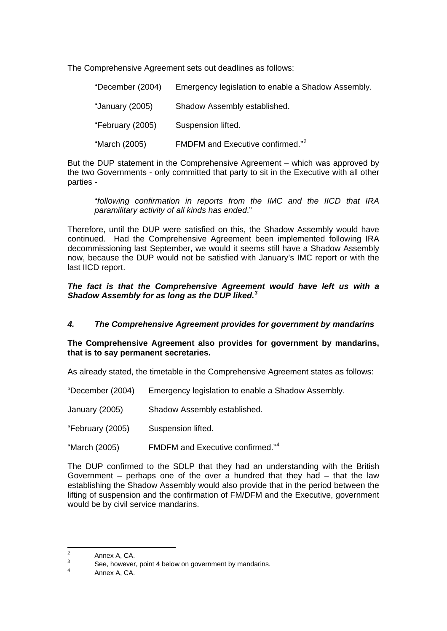The Comprehensive Agreement sets out deadlines as follows:

| "December (2004) | Emergency legislation to enable a Shadow Assembly. |
|------------------|----------------------------------------------------|
| "January (2005)  | Shadow Assembly established.                       |
| "February (2005) | Suspension lifted.                                 |
| "March (2005)    | FMDFM and Executive confirmed." <sup>2</sup>       |

But the DUP statement in the Comprehensive Agreement – which was approved by the two Governments - only committed that party to sit in the Executive with all other parties -

"*following confirmation in reports from the IMC and the IICD that IRA paramilitary activity of all kinds has ended*."

Therefore, until the DUP were satisfied on this, the Shadow Assembly would have continued. Had the Comprehensive Agreement been implemented following IRA decommissioning last September, we would it seems still have a Shadow Assembly now, because the DUP would not be satisfied with January's IMC report or with the last IICD report.

*The fact is that the Comprehensive Agreement would have left us with a Shadow Assembly for as long as the DUP liked.[3](#page-3-1)*

## *4. The Comprehensive Agreement provides for government by mandarins*

**The Comprehensive Agreement also provides for government by mandarins, that is to say permanent secretaries.** 

As already stated, the timetable in the Comprehensive Agreement states as follows:

"December (2004) Emergency legislation to enable a Shadow Assembly.

January (2005) Shadow Assembly established.

"February (2005) Suspension lifted.

"March (2005) FMDFM and Executive confirmed."[4](#page-3-2)

The DUP confirmed to the SDLP that they had an understanding with the British Government – perhaps one of the over a hundred that they had – that the law establishing the Shadow Assembly would also provide that in the period between the lifting of suspension and the confirmation of FM/DFM and the Executive, government would be by civil service mandarins.

 $\frac{1}{2}$  $\frac{2}{3}$  Annex A, CA.

<span id="page-3-2"></span><span id="page-3-1"></span><span id="page-3-0"></span> $\frac{3}{4}$  See, however, point 4 below on government by mandarins.

Annex A, CA.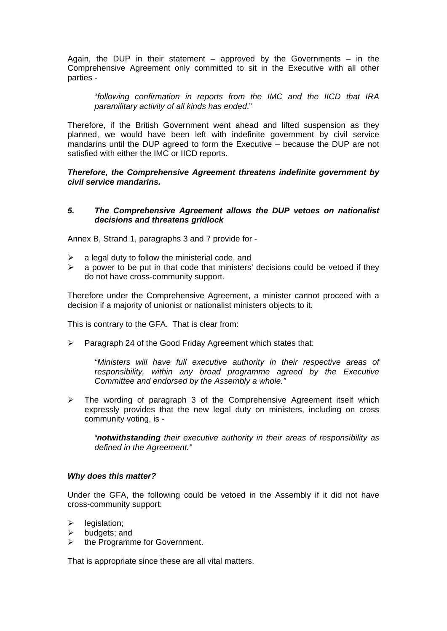Again, the DUP in their statement – approved by the Governments – in the Comprehensive Agreement only committed to sit in the Executive with all other parties -

"*following confirmation in reports from the IMC and the IICD that IRA paramilitary activity of all kinds has ended*."

Therefore, if the British Government went ahead and lifted suspension as they planned, we would have been left with indefinite government by civil service mandarins until the DUP agreed to form the Executive – because the DUP are not satisfied with either the IMC or IICD reports.

*Therefore, the Comprehensive Agreement threatens indefinite government by civil service mandarins.* 

#### *5. The Comprehensive Agreement allows the DUP vetoes on nationalist decisions and threatens gridlock*

Annex B, Strand 1, paragraphs 3 and 7 provide for -

- $\triangleright$  a legal duty to follow the ministerial code, and
- ¾ a power to be put in that code that ministers' decisions could be vetoed if they do not have cross-community support.

Therefore under the Comprehensive Agreement, a minister cannot proceed with a decision if a majority of unionist or nationalist ministers objects to it.

This is contrary to the GFA. That is clear from:

¾ Paragraph 24 of the Good Friday Agreement which states that:

*"Ministers will have full executive authority in their respective areas of responsibility, within any broad programme agreed by the Executive Committee and endorsed by the Assembly a whole."* 

 $\triangleright$  The wording of paragraph 3 of the Comprehensive Agreement itself which expressly provides that the new legal duty on ministers, including on cross community voting, is -

*"notwithstanding their executive authority in their areas of responsibility as defined in the Agreement."*

#### *Why does this matter?*

Under the GFA, the following could be vetoed in the Assembly if it did not have cross-community support:

- $\triangleright$  legislation:
- $\triangleright$  budgets; and
- $\triangleright$  the Programme for Government.

That is appropriate since these are all vital matters.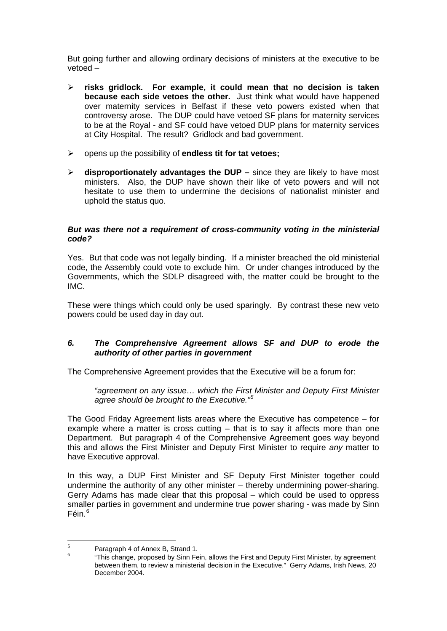But going further and allowing ordinary decisions of ministers at the executive to be vetoed –

- ¾ **risks gridlock. For example, it could mean that no decision is taken because each side vetoes the other.** Just think what would have happened over maternity services in Belfast if these veto powers existed when that controversy arose. The DUP could have vetoed SF plans for maternity services to be at the Royal - and SF could have vetoed DUP plans for maternity services at City Hospital. The result? Gridlock and bad government.
- ¾ opens up the possibility of **endless tit for tat vetoes;**
- ¾ **disproportionately advantages the DUP** since they are likely to have most ministers. Also, the DUP have shown their like of veto powers and will not hesitate to use them to undermine the decisions of nationalist minister and uphold the status quo.

#### *But was there not a requirement of cross-community voting in the ministerial code?*

Yes. But that code was not legally binding. If a minister breached the old ministerial code, the Assembly could vote to exclude him. Or under changes introduced by the Governments, which the SDLP disagreed with, the matter could be brought to the IMC.

These were things which could only be used sparingly. By contrast these new veto powers could be used day in day out.

## *6. The Comprehensive Agreement allows SF and DUP to erode the authority of other parties in government*

The Comprehensive Agreement provides that the Executive will be a forum for:

*"agreement on any issue… which the First Minister and Deputy First Minister agree should be brought to the Executive."[5](#page-5-0)*

The Good Friday Agreement lists areas where the Executive has competence – for example where a matter is cross cutting – that is to say it affects more than one Department. But paragraph 4 of the Comprehensive Agreement goes way beyond this and allows the First Minister and Deputy First Minister to require *any* matter to have Executive approval.

In this way, a DUP First Minister and SF Deputy First Minister together could undermine the authority of any other minister – thereby undermining power-sharing. Gerry Adams has made clear that this proposal – which could be used to oppress smaller parties in government and undermine true power sharing - was made by Sinn  $F$ éin.<sup>[6](#page-5-1)</sup>

<span id="page-5-0"></span><sup>-&</sup>lt;br>5  $\frac{5}{6}$  Paragraph 4 of Annex B, Strand 1.

<span id="page-5-1"></span>"This change, proposed by Sinn Fein, allows the First and Deputy First Minister, by agreement between them, to review a ministerial decision in the Executive." Gerry Adams, Irish News, 20 December 2004.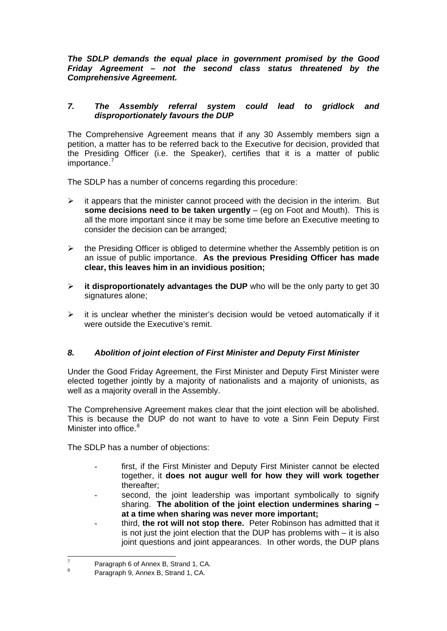*The SDLP demands the equal place in government promised by the Good Friday Agreement – not the second class status threatened by the Comprehensive Agreement.* 

## *7. The Assembly referral system could lead to gridlock and disproportionately favours the DUP*

The Comprehensive Agreement means that if any 30 Assembly members sign a petition, a matter has to be referred back to the Executive for decision, provided that the Presiding Officer (i.e. the Speaker), certifies that it is a matter of public importance.<sup>[7](#page-6-0)</sup>

The SDLP has a number of concerns regarding this procedure:

- $\triangleright$  it appears that the minister cannot proceed with the decision in the interim. But **some decisions need to be taken urgently** – (eg on Foot and Mouth). This is all the more important since it may be some time before an Executive meeting to consider the decision can be arranged;
- $\triangleright$  the Presiding Officer is obliged to determine whether the Assembly petition is on an issue of public importance. **As the previous Presiding Officer has made clear, this leaves him in an invidious position;**
- ¾ **it disproportionately advantages the DUP** who will be the only party to get 30 signatures alone;
- $\triangleright$  it is unclear whether the minister's decision would be vetoed automatically if it were outside the Executive's remit.

## *8. Abolition of joint election of First Minister and Deputy First Minister*

Under the Good Friday Agreement, the First Minister and Deputy First Minister were elected together jointly by a majority of nationalists and a majority of unionists, as well as a majority overall in the Assembly.

The Comprehensive Agreement makes clear that the joint election will be abolished. This is because the DUP do not want to have to vote a Sinn Fein Deputy First Minister into office.<sup>[8](#page-6-1)</sup>

The SDLP has a number of objections:

- first, if the First Minister and Deputy First Minister cannot be elected together, it **does not augur well for how they will work together** thereafter;
- second, the joint leadership was important symbolically to signify sharing. **The abolition of the joint election undermines sharing – at a time when sharing was never more important;**
- third, **the rot will not stop there.** Peter Robinson has admitted that it is not just the joint election that the DUP has problems with – it is also joint questions and joint appearances. In other words, the DUP plans

<span id="page-6-0"></span><sup>–&</sup>lt;br>7 Paragraph 6 of Annex B, Strand 1, CA.

<span id="page-6-1"></span>Paragraph 9, Annex B, Strand 1, CA.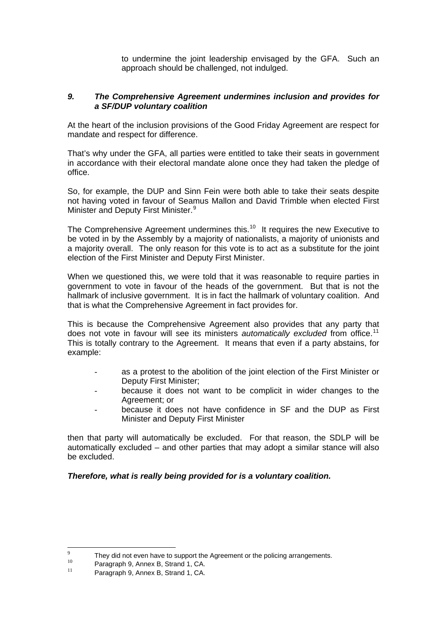to undermine the joint leadership envisaged by the GFA. Such an approach should be challenged, not indulged.

## *9. The Comprehensive Agreement undermines inclusion and provides for a SF/DUP voluntary coalition*

At the heart of the inclusion provisions of the Good Friday Agreement are respect for mandate and respect for difference.

That's why under the GFA, all parties were entitled to take their seats in government in accordance with their electoral mandate alone once they had taken the pledge of office.

So, for example, the DUP and Sinn Fein were both able to take their seats despite not having voted in favour of Seamus Mallon and David Trimble when elected First Minister and Deputy First Minister.<sup>[9](#page-7-0)</sup>

The Comprehensive Agreement undermines this.<sup>[10](#page-7-1)</sup> It requires the new Executive to be voted in by the Assembly by a majority of nationalists, a majority of unionists and a majority overall. The only reason for this vote is to act as a substitute for the joint election of the First Minister and Deputy First Minister.

When we questioned this, we were told that it was reasonable to require parties in government to vote in favour of the heads of the government. But that is not the hallmark of inclusive government. It is in fact the hallmark of voluntary coalition. And that is what the Comprehensive Agreement in fact provides for.

This is because the Comprehensive Agreement also provides that any party that does not vote in favour will see its ministers *automatically excluded* from office.[11](#page-7-2) This is totally contrary to the Agreement. It means that even if a party abstains, for example:

- as a protest to the abolition of the joint election of the First Minister or Deputy First Minister;
- because it does not want to be complicit in wider changes to the Agreement; or
- because it does not have confidence in SF and the DUP as First Minister and Deputy First Minister

then that party will automatically be excluded. For that reason, the SDLP will be automatically excluded – and other parties that may adopt a similar stance will also be excluded.

## *Therefore, what is really being provided for is a voluntary coalition.*

<span id="page-7-0"></span><sup>-&</sup>lt;br>9 They did not even have to support the Agreement or the policing arrangements.<br>
Paragraph 9, Annex B, Strand 1, CA.<br>
<sup>11</sup> Paragraph 9, Annex B, Strand 1, CA.

<span id="page-7-1"></span>

<span id="page-7-2"></span>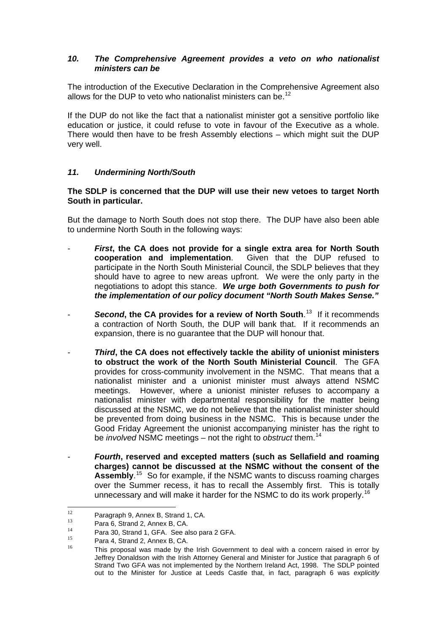## *10. The Comprehensive Agreement provides a veto on who nationalist ministers can be*

The introduction of the Executive Declaration in the Comprehensive Agreement also allows for the DUP to veto who nationalist ministers can be.<sup>[12](#page-8-0)</sup>

If the DUP do not like the fact that a nationalist minister got a sensitive portfolio like education or justice, it could refuse to vote in favour of the Executive as a whole. There would then have to be fresh Assembly elections – which might suit the DUP very well.

## *11. Undermining North/South*

#### **The SDLP is concerned that the DUP will use their new vetoes to target North South in particular.**

But the damage to North South does not stop there. The DUP have also been able to undermine North South in the following ways:

- *First***, the CA does not provide for a single extra area for North South cooperation and implementation**. Given that the DUP refused to participate in the North South Ministerial Council, the SDLP believes that they should have to agree to new areas upfront. We were the only party in the negotiations to adopt this stance. *We urge both Governments to push for the implementation of our policy document "North South Makes Sense."*
- *Second***, the CA provides for a review of North South**. [13](#page-8-1) If it recommends a contraction of North South, the DUP will bank that. If it recommends an expansion, there is no guarantee that the DUP will honour that.
- *Third***, the CA does not effectively tackle the ability of unionist ministers to obstruct the work of the North South Ministerial Council**. The GFA provides for cross-community involvement in the NSMC. That means that a nationalist minister and a unionist minister must always attend NSMC meetings. However, where a unionist minister refuses to accompany a nationalist minister with departmental responsibility for the matter being discussed at the NSMC, we do not believe that the nationalist minister should be prevented from doing business in the NSMC. This is because under the Good Friday Agreement the unionist accompanying minister has the right to be *involved* NSMC meetings – not the right to *obstruct* them.[14](#page-8-2)
- *Fourth***, reserved and excepted matters (such as Sellafield and roaming charges) cannot be discussed at the NSMC without the consent of the**  Assembly.<sup>[15](#page-8-3)</sup> So for example, if the NSMC wants to discuss roaming charges over the Summer recess, it has to recall the Assembly first. This is totally unnecessary and will make it harder for the NSMC to do its work properly.<sup>[16](#page-8-4)</sup>

 $12$ 

<span id="page-8-4"></span><span id="page-8-3"></span><span id="page-8-2"></span>

<span id="page-8-1"></span><span id="page-8-0"></span>Paragraph 9, Annex B, Strand 1, CA.<br>
Para 6, Strand 2, Annex B, CA.<br>
Para 30, Strand 1, GFA. See also para 2 GFA.<br>
Para 4, Strand 2, Annex B, CA.<br>
This proposal was made by the Irish Government to deal with a concern rais Jeffrey Donaldson with the Irish Attorney General and Minister for Justice that paragraph 6 of Strand Two GFA was not implemented by the Northern Ireland Act, 1998. The SDLP pointed out to the Minister for Justice at Leeds Castle that, in fact, paragraph 6 was *explicitly*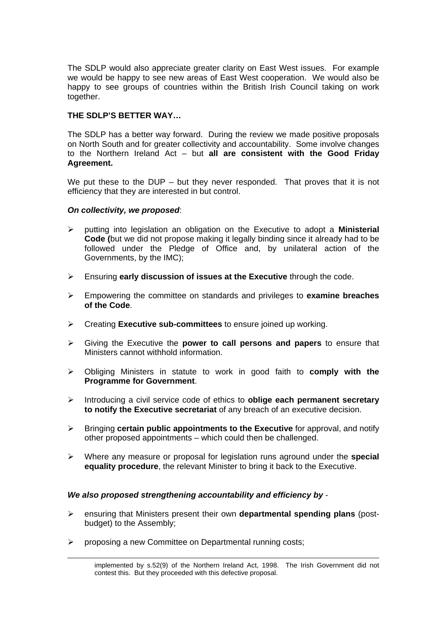The SDLP would also appreciate greater clarity on East West issues. For example we would be happy to see new areas of East West cooperation. We would also be happy to see groups of countries within the British Irish Council taking on work together.

## **THE SDLP'S BETTER WAY…**

The SDLP has a better way forward. During the review we made positive proposals on North South and for greater collectivity and accountability. Some involve changes to the Northern Ireland Act – but **all are consistent with the Good Friday Agreement.** 

We put these to the DUP – but they never responded. That proves that it is not efficiency that they are interested in but control.

#### *On collectivity, we proposed*:

- ¾ putting into legislation an obligation on the Executive to adopt a **Ministerial Code (**but we did not propose making it legally binding since it already had to be followed under the Pledge of Office and, by unilateral action of the Governments, by the IMC);
- ¾ Ensuring **early discussion of issues at the Executive** through the code.
- ¾ Empowering the committee on standards and privileges to **examine breaches of the Code**.
- ¾ Creating **Executive sub-committees** to ensure joined up working.
- ¾ Giving the Executive the **power to call persons and papers** to ensure that Ministers cannot withhold information.
- ¾ Obliging Ministers in statute to work in good faith to **comply with the Programme for Government**.
- ¾ Introducing a civil service code of ethics to **oblige each permanent secretary to notify the Executive secretariat** of any breach of an executive decision.
- ¾ Bringing **certain public appointments to the Executive** for approval, and notify other proposed appointments – which could then be challenged.
- ¾ Where any measure or proposal for legislation runs aground under the **special equality procedure**, the relevant Minister to bring it back to the Executive.

#### *We also proposed strengthening accountability and efficiency by* -

- ¾ ensuring that Ministers present their own **departmental spending plans** (postbudget) to the Assembly;
- $\triangleright$  proposing a new Committee on Departmental running costs;

-

implemented by s.52(9) of the Northern Ireland Act, 1998. The Irish Government did not contest this. But they proceeded with this defective proposal.